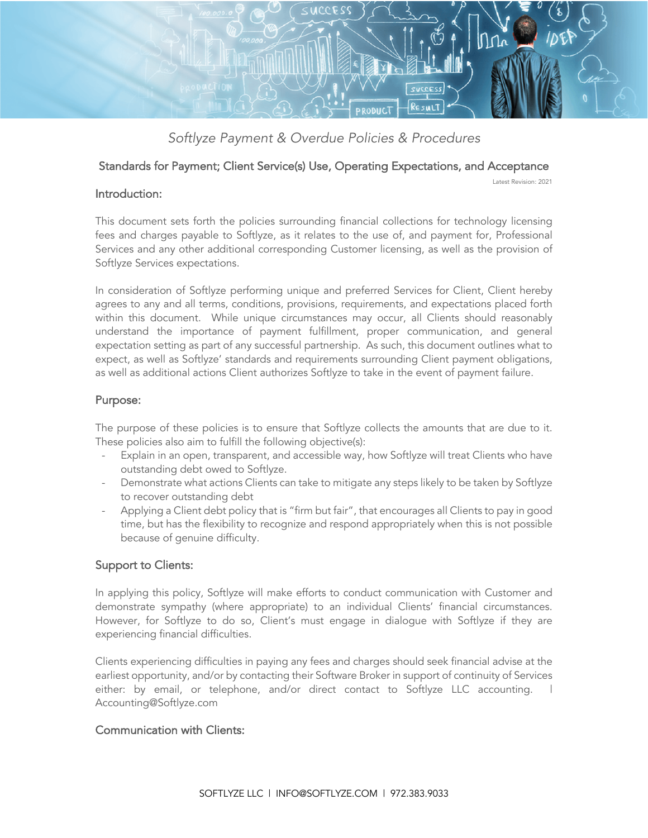

*Softlyze Payment & Overdue Policies & Procedures*

### Standards for Payment; Client Service(s) Use, Operating Expectations, and Acceptance

Latest Revision: 2021

#### Introduction:

This document sets forth the policies surrounding financial collections for technology licensing fees and charges payable to Softlyze, as it relates to the use of, and payment for, Professional Services and any other additional corresponding Customer licensing, as well as the provision of Softlyze Services expectations.

In consideration of Softlyze performing unique and preferred Services for Client, Client hereby agrees to any and all terms, conditions, provisions, requirements, and expectations placed forth within this document. While unique circumstances may occur, all Clients should reasonably understand the importance of payment fulfillment, proper communication, and general expectation setting as part of any successful partnership. As such, this document outlines what to expect, as well as Softlyze' standards and requirements surrounding Client payment obligations, as well as additional actions Client authorizes Softlyze to take in the event of payment failure.

## Purpose:

The purpose of these policies is to ensure that Softlyze collects the amounts that are due to it. These policies also aim to fulfill the following objective(s):

- Explain in an open, transparent, and accessible way, how Softlyze will treat Clients who have outstanding debt owed to Softlyze.
- Demonstrate what actions Clients can take to mitigate any steps likely to be taken by Softlyze to recover outstanding debt
- Applying a Client debt policy that is "firm but fair", that encourages all Clients to pay in good time, but has the flexibility to recognize and respond appropriately when this is not possible because of genuine difficulty.

# Support to Clients:

In applying this policy, Softlyze will make efforts to conduct communication with Customer and demonstrate sympathy (where appropriate) to an individual Clients' financial circumstances. However, for Softlyze to do so, Client's must engage in dialogue with Softlyze if they are experiencing financial difficulties.

Clients experiencing difficulties in paying any fees and charges should seek financial advise at the earliest opportunity, and/or by contacting their Software Broker in support of continuity of Services either: by email, or telephone, and/or direct contact to Softlyze LLC accounting. I Accounting@Softlyze.com

# Communication with Clients: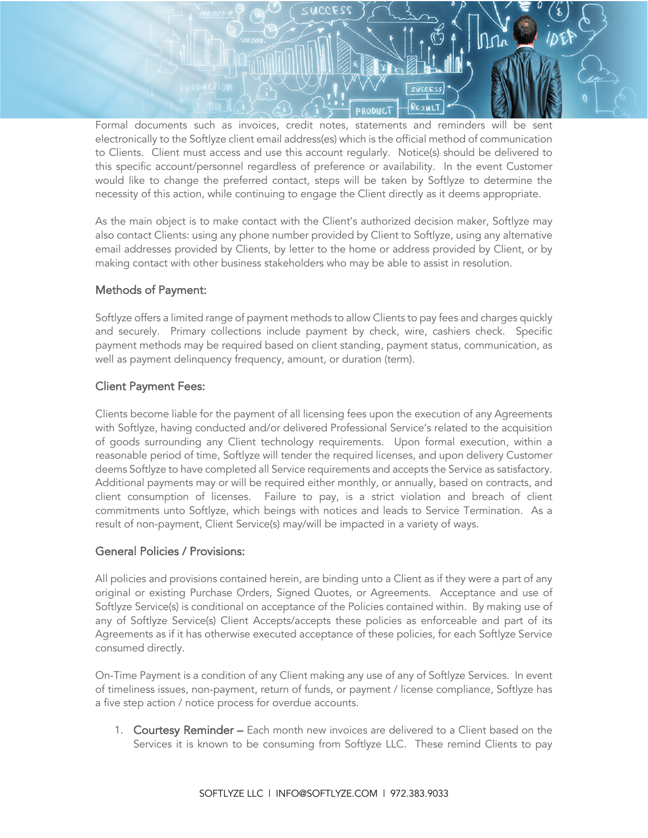

Formal documents such as invoices, credit notes, statements and reminders will be sent electronically to the Softlyze client email address(es) which is the official method of communication to Clients. Client must access and use this account regularly. Notice(s) should be delivered to this specific account/personnel regardless of preference or availability. In the event Customer would like to change the preferred contact, steps will be taken by Softlyze to determine the necessity of this action, while continuing to engage the Client directly as it deems appropriate.

As the main object is to make contact with the Client's authorized decision maker, Softlyze may also contact Clients: using any phone number provided by Client to Softlyze, using any alternative email addresses provided by Clients, by letter to the home or address provided by Client, or by making contact with other business stakeholders who may be able to assist in resolution.

## Methods of Payment:

Softlyze offers a limited range of payment methods to allow Clients to pay fees and charges quickly and securely. Primary collections include payment by check, wire, cashiers check. Specific payment methods may be required based on client standing, payment status, communication, as well as payment delinquency frequency, amount, or duration (term).

## Client Payment Fees:

Clients become liable for the payment of all licensing fees upon the execution of any Agreements with Softlyze, having conducted and/or delivered Professional Service's related to the acquisition of goods surrounding any Client technology requirements. Upon formal execution, within a reasonable period of time, Softlyze will tender the required licenses, and upon delivery Customer deems Softlyze to have completed all Service requirements and accepts the Service as satisfactory. Additional payments may or will be required either monthly, or annually, based on contracts, and client consumption of licenses. Failure to pay, is a strict violation and breach of client commitments unto Softlyze, which beings with notices and leads to Service Termination. As a result of non-payment, Client Service(s) may/will be impacted in a variety of ways.

## General Policies / Provisions:

All policies and provisions contained herein, are binding unto a Client as if they were a part of any original or existing Purchase Orders, Signed Quotes, or Agreements. Acceptance and use of Softlyze Service(s) is conditional on acceptance of the Policies contained within. By making use of any of Softlyze Service(s) Client Accepts/accepts these policies as enforceable and part of its Agreements as if it has otherwise executed acceptance of these policies, for each Softlyze Service consumed directly.

On-Time Payment is a condition of any Client making any use of any of Softlyze Services. In event of timeliness issues, non-payment, return of funds, or payment / license compliance, Softlyze has a five step action / notice process for overdue accounts.

1. Courtesy Reminder – Each month new invoices are delivered to a Client based on the Services it is known to be consuming from Softlyze LLC. These remind Clients to pay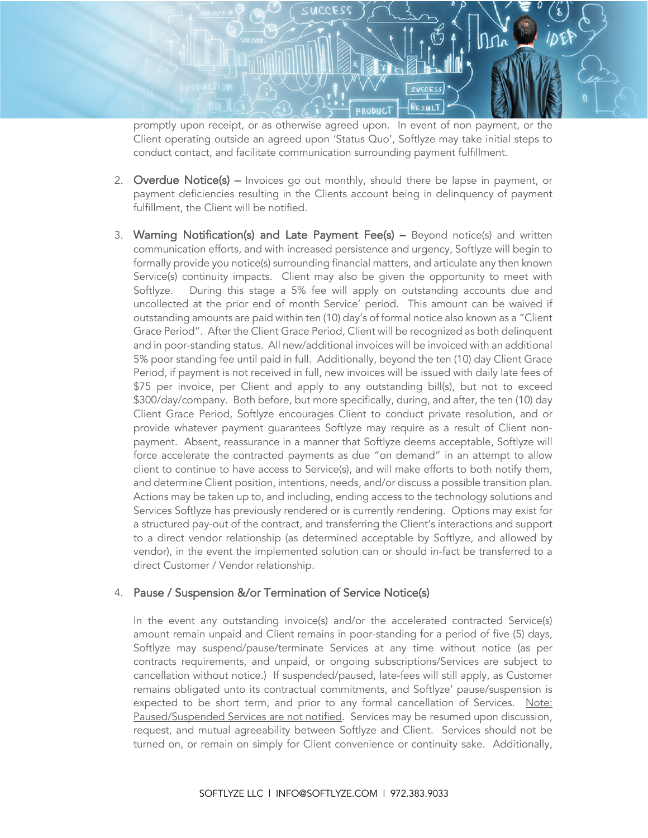

promptly upon receipt, or as otherwise agreed upon. In event of non payment, or the Client operating outside an agreed upon 'Status Quo', Softlyze may take initial steps to conduct contact, and facilitate communication surrounding payment fulfillment.

- 2. Overdue Notice(s) Invoices go out monthly, should there be lapse in payment, or payment deficiencies resulting in the Clients account being in delinquency of payment fulfillment, the Client will be notified.
- 3. Warning Notification(s) and Late Payment Fee(s) Beyond notice(s) and written communication efforts, and with increased persistence and urgency, Softlyze will begin to formally provide you notice(s) surrounding financial matters, and articulate any then known Service(s) continuity impacts. Client may also be given the opportunity to meet with Softlyze. During this stage a 5% fee will apply on outstanding accounts due and uncollected at the prior end of month Service' period. This amount can be waived if outstanding amounts are paid within ten (10) day's of formal notice also known as a "Client Grace Period". After the Client Grace Period, Client will be recognized as both delinquent and in poor-standing status. All new/additional invoices will be invoiced with an additional 5% poor standing fee until paid in full. Additionally, beyond the ten (10) day Client Grace Period, if payment is not received in full, new invoices will be issued with daily late fees of \$75 per invoice, per Client and apply to any outstanding bill(s), but not to exceed \$300/day/company. Both before, but more specifically, during, and after, the ten (10) day Client Grace Period, Softlyze encourages Client to conduct private resolution, and or provide whatever payment guarantees Softlyze may require as a result of Client nonpayment. Absent, reassurance in a manner that Softlyze deems acceptable, Softlyze will force accelerate the contracted payments as due "on demand" in an attempt to allow client to continue to have access to Service(s), and will make efforts to both notify them, and determine Client position, intentions, needs, and/or discuss a possible transition plan. Actions may be taken up to, and including, ending access to the technology solutions and Services Softlyze has previously rendered or is currently rendering. Options may exist for a structured pay-out of the contract, and transferring the Client's interactions and support to a direct vendor relationship (as determined acceptable by Softlyze, and allowed by vendor), in the event the implemented solution can or should in-fact be transferred to a direct Customer / Vendor relationship.

#### 4. Pause / Suspension &/or Termination of Service Notice(s)

In the event any outstanding invoice(s) and/or the accelerated contracted Service(s) amount remain unpaid and Client remains in poor-standing for a period of five (5) days, Softlyze may suspend/pause/terminate Services at any time without notice (as per contracts requirements, and unpaid, or ongoing subscriptions/Services are subject to cancellation without notice.) If suspended/paused, late-fees will still apply, as Customer remains obligated unto its contractual commitments, and Softlyze' pause/suspension is expected to be short term, and prior to any formal cancellation of Services. Note: Paused/Suspended Services are not notified. Services may be resumed upon discussion, request, and mutual agreeability between Softlyze and Client. Services should not be turned on, or remain on simply for Client convenience or continuity sake. Additionally,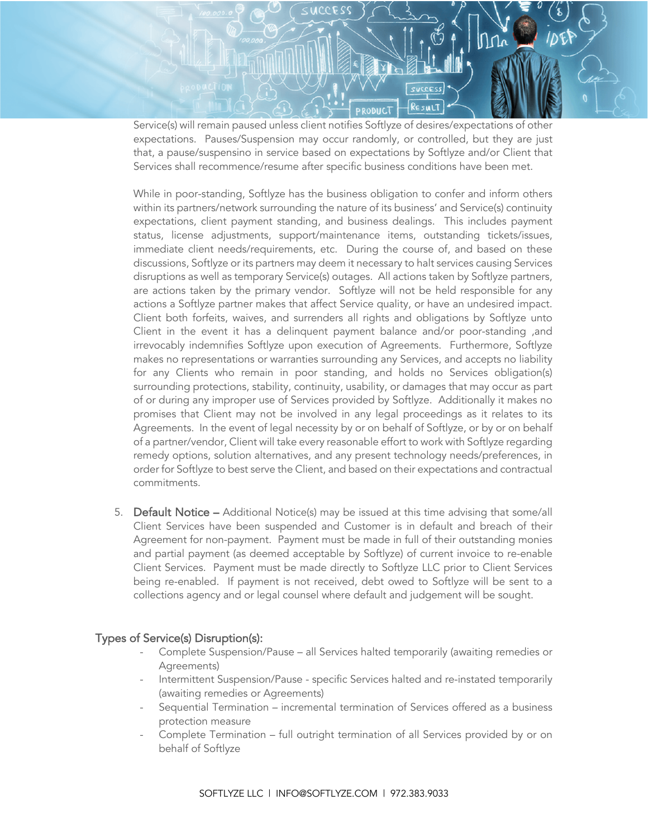

Service(s) will remain paused unless client notifies Softlyze of desires/expectations of other expectations. Pauses/Suspension may occur randomly, or controlled, but they are just that, a pause/suspensino in service based on expectations by Softlyze and/or Client that Services shall recommence/resume after specific business conditions have been met.

While in poor-standing, Softlyze has the business obligation to confer and inform others within its partners/network surrounding the nature of its business' and Service(s) continuity expectations, client payment standing, and business dealings. This includes payment status, license adjustments, support/maintenance items, outstanding tickets/issues, immediate client needs/requirements, etc. During the course of, and based on these discussions, Softlyze or its partners may deem it necessary to halt services causing Services disruptions as well as temporary Service(s) outages. All actions taken by Softlyze partners, are actions taken by the primary vendor. Softlyze will not be held responsible for any actions a Softlyze partner makes that affect Service quality, or have an undesired impact. Client both forfeits, waives, and surrenders all rights and obligations by Softlyze unto Client in the event it has a delinquent payment balance and/or poor-standing ,and irrevocably indemnifies Softlyze upon execution of Agreements. Furthermore, Softlyze makes no representations or warranties surrounding any Services, and accepts no liability for any Clients who remain in poor standing, and holds no Services obligation(s) surrounding protections, stability, continuity, usability, or damages that may occur as part of or during any improper use of Services provided by Softlyze. Additionally it makes no promises that Client may not be involved in any legal proceedings as it relates to its Agreements. In the event of legal necessity by or on behalf of Softlyze, or by or on behalf of a partner/vendor, Client will take every reasonable effort to work with Softlyze regarding remedy options, solution alternatives, and any present technology needs/preferences, in order for Softlyze to best serve the Client, and based on their expectations and contractual commitments.

5. Default Notice – Additional Notice(s) may be issued at this time advising that some/all Client Services have been suspended and Customer is in default and breach of their Agreement for non-payment. Payment must be made in full of their outstanding monies and partial payment (as deemed acceptable by Softlyze) of current invoice to re-enable Client Services. Payment must be made directly to Softlyze LLC prior to Client Services being re-enabled. If payment is not received, debt owed to Softlyze will be sent to a collections agency and or legal counsel where default and judgement will be sought.

## Types of Service(s) Disruption(s):

- Complete Suspension/Pause all Services halted temporarily (awaiting remedies or Agreements)
- Intermittent Suspension/Pause specific Services halted and re-instated temporarily (awaiting remedies or Agreements)
- Sequential Termination incremental termination of Services offered as a business protection measure
- Complete Termination full outright termination of all Services provided by or on behalf of Softlyze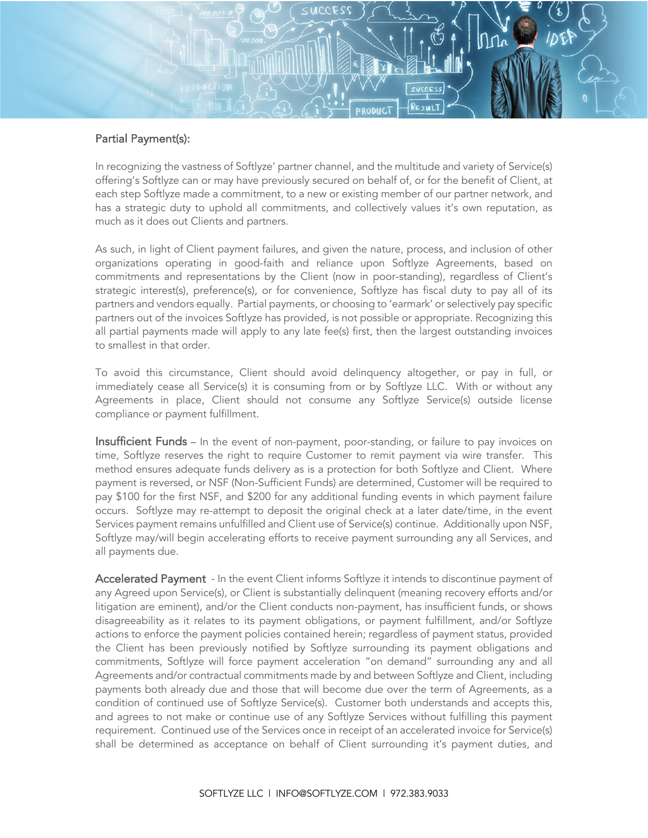

## Partial Payment(s):

In recognizing the vastness of Softlyze' partner channel, and the multitude and variety of Service(s) offering's Softlyze can or may have previously secured on behalf of, or for the benefit of Client, at each step Softlyze made a commitment, to a new or existing member of our partner network, and has a strategic duty to uphold all commitments, and collectively values it's own reputation, as much as it does out Clients and partners.

As such, in light of Client payment failures, and given the nature, process, and inclusion of other organizations operating in good-faith and reliance upon Softlyze Agreements, based on commitments and representations by the Client (now in poor-standing), regardless of Client's strategic interest(s), preference(s), or for convenience, Softlyze has fiscal duty to pay all of its partners and vendors equally. Partial payments, or choosing to 'earmark' or selectively pay specific partners out of the invoices Softlyze has provided, is not possible or appropriate. Recognizing this all partial payments made will apply to any late fee(s) first, then the largest outstanding invoices to smallest in that order.

To avoid this circumstance, Client should avoid delinquency altogether, or pay in full, or immediately cease all Service(s) it is consuming from or by Softlyze LLC. With or without any Agreements in place, Client should not consume any Softlyze Service(s) outside license compliance or payment fulfillment.

Insufficient Funds – In the event of non-payment, poor-standing, or failure to pay invoices on time, Softlyze reserves the right to require Customer to remit payment via wire transfer. This method ensures adequate funds delivery as is a protection for both Softlyze and Client. Where payment is reversed, or NSF (Non-Sufficient Funds) are determined, Customer will be required to pay \$100 for the first NSF, and \$200 for any additional funding events in which payment failure occurs. Softlyze may re-attempt to deposit the original check at a later date/time, in the event Services payment remains unfulfilled and Client use of Service(s) continue. Additionally upon NSF, Softlyze may/will begin accelerating efforts to receive payment surrounding any all Services, and all payments due.

Accelerated Payment - In the event Client informs Softlyze it intends to discontinue payment of any Agreed upon Service(s), or Client is substantially delinquent (meaning recovery efforts and/or litigation are eminent), and/or the Client conducts non-payment, has insufficient funds, or shows disagreeability as it relates to its payment obligations, or payment fulfillment, and/or Softlyze actions to enforce the payment policies contained herein; regardless of payment status, provided the Client has been previously notified by Softlyze surrounding its payment obligations and commitments, Softlyze will force payment acceleration "on demand" surrounding any and all Agreements and/or contractual commitments made by and between Softlyze and Client, including payments both already due and those that will become due over the term of Agreements, as a condition of continued use of Softlyze Service(s). Customer both understands and accepts this, and agrees to not make or continue use of any Softlyze Services without fulfilling this payment requirement. Continued use of the Services once in receipt of an accelerated invoice for Service(s) shall be determined as acceptance on behalf of Client surrounding it's payment duties, and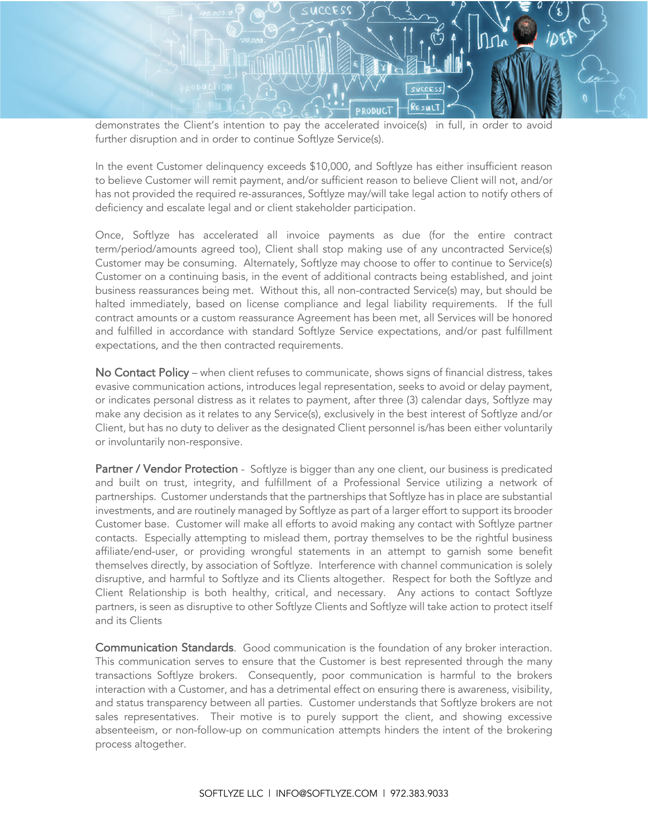

demonstrates the Client's intention to pay the accelerated invoice(s) in full, in order to avoid further disruption and in order to continue Softlyze Service(s).

In the event Customer delinquency exceeds \$10,000, and Softlyze has either insufficient reason to believe Customer will remit payment, and/or sufficient reason to believe Client will not, and/or has not provided the required re-assurances, Softlyze may/will take legal action to notify others of deficiency and escalate legal and or client stakeholder participation.

Once, Softlyze has accelerated all invoice payments as due (for the entire contract term/period/amounts agreed too), Client shall stop making use of any uncontracted Service(s) Customer may be consuming. Alternately, Softlyze may choose to offer to continue to Service(s) Customer on a continuing basis, in the event of additional contracts being established, and joint business reassurances being met. Without this, all non-contracted Service(s) may, but should be halted immediately, based on license compliance and legal liability requirements. If the full contract amounts or a custom reassurance Agreement has been met, all Services will be honored and fulfilled in accordance with standard Softlyze Service expectations, and/or past fulfillment expectations, and the then contracted requirements.

No Contact Policy – when client refuses to communicate, shows signs of financial distress, takes evasive communication actions, introduces legal representation, seeks to avoid or delay payment, or indicates personal distress as it relates to payment, after three (3) calendar days, Softlyze may make any decision as it relates to any Service(s), exclusively in the best interest of Softlyze and/or Client, but has no duty to deliver as the designated Client personnel is/has been either voluntarily or involuntarily non-responsive.

Partner / Vendor Protection - Softlyze is bigger than any one client, our business is predicated and built on trust, integrity, and fulfillment of a Professional Service utilizing a network of partnerships. Customer understands that the partnerships that Softlyze has in place are substantial investments, and are routinely managed by Softlyze as part of a larger effort to support its brooder Customer base. Customer will make all efforts to avoid making any contact with Softlyze partner contacts. Especially attempting to mislead them, portray themselves to be the rightful business affiliate/end-user, or providing wrongful statements in an attempt to garnish some benefit themselves directly, by association of Softlyze. Interference with channel communication is solely disruptive, and harmful to Softlyze and its Clients altogether. Respect for both the Softlyze and Client Relationship is both healthy, critical, and necessary. Any actions to contact Softlyze partners, is seen as disruptive to other Softlyze Clients and Softlyze will take action to protect itself and its Clients

Communication Standards. Good communication is the foundation of any broker interaction. This communication serves to ensure that the Customer is best represented through the many transactions Softlyze brokers. Consequently, poor communication is harmful to the brokers interaction with a Customer, and has a detrimental effect on ensuring there is awareness, visibility, and status transparency between all parties. Customer understands that Softlyze brokers are not sales representatives. Their motive is to purely support the client, and showing excessive absenteeism, or non-follow-up on communication attempts hinders the intent of the brokering process altogether.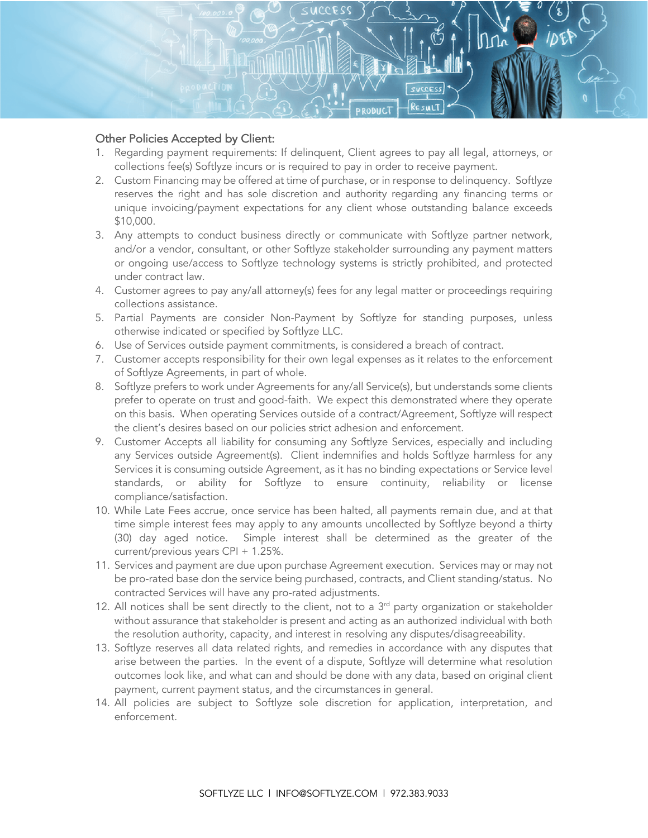

## Other Policies Accepted by Client:

- 1. Regarding payment requirements: If delinquent, Client agrees to pay all legal, attorneys, or collections fee(s) Softlyze incurs or is required to pay in order to receive payment.
- 2. Custom Financing may be offered at time of purchase, or in response to delinquency. Softlyze reserves the right and has sole discretion and authority regarding any financing terms or unique invoicing/payment expectations for any client whose outstanding balance exceeds \$10,000.
- 3. Any attempts to conduct business directly or communicate with Softlyze partner network, and/or a vendor, consultant, or other Softlyze stakeholder surrounding any payment matters or ongoing use/access to Softlyze technology systems is strictly prohibited, and protected under contract law.
- 4. Customer agrees to pay any/all attorney(s) fees for any legal matter or proceedings requiring collections assistance.
- 5. Partial Payments are consider Non-Payment by Softlyze for standing purposes, unless otherwise indicated or specified by Softlyze LLC.
- 6. Use of Services outside payment commitments, is considered a breach of contract.
- 7. Customer accepts responsibility for their own legal expenses as it relates to the enforcement of Softlyze Agreements, in part of whole.
- 8. Softlyze prefers to work under Agreements for any/all Service(s), but understands some clients prefer to operate on trust and good-faith. We expect this demonstrated where they operate on this basis. When operating Services outside of a contract/Agreement, Softlyze will respect the client's desires based on our policies strict adhesion and enforcement.
- 9. Customer Accepts all liability for consuming any Softlyze Services, especially and including any Services outside Agreement(s). Client indemnifies and holds Softlyze harmless for any Services it is consuming outside Agreement, as it has no binding expectations or Service level standards, or ability for Softlyze to ensure continuity, reliability or license compliance/satisfaction.
- 10. While Late Fees accrue, once service has been halted, all payments remain due, and at that time simple interest fees may apply to any amounts uncollected by Softlyze beyond a thirty (30) day aged notice. Simple interest shall be determined as the greater of the current/previous years CPI + 1.25%.
- 11. Services and payment are due upon purchase Agreement execution. Services may or may not be pro-rated base don the service being purchased, contracts, and Client standing/status. No contracted Services will have any pro-rated adjustments.
- 12. All notices shall be sent directly to the client, not to a  $3<sup>rd</sup>$  party organization or stakeholder without assurance that stakeholder is present and acting as an authorized individual with both the resolution authority, capacity, and interest in resolving any disputes/disagreeability.
- 13. Softlyze reserves all data related rights, and remedies in accordance with any disputes that arise between the parties. In the event of a dispute, Softlyze will determine what resolution outcomes look like, and what can and should be done with any data, based on original client payment, current payment status, and the circumstances in general.
- 14. All policies are subject to Softlyze sole discretion for application, interpretation, and enforcement.